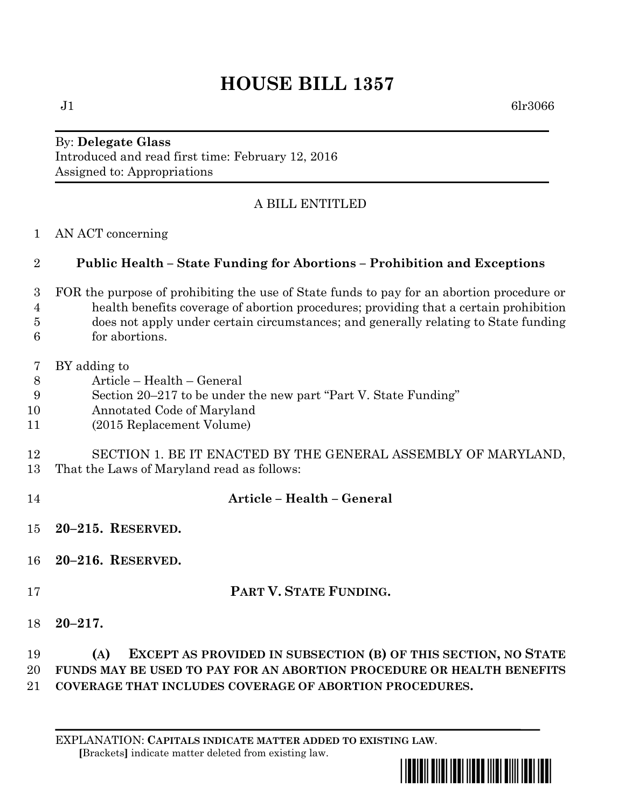# **HOUSE BILL 1357**

 $J1$  6lr3066

#### By: **Delegate Glass** Introduced and read first time: February 12, 2016 Assigned to: Appropriations

## A BILL ENTITLED

AN ACT concerning

### **Public Health – State Funding for Abortions – Prohibition and Exceptions**

- FOR the purpose of prohibiting the use of State funds to pay for an abortion procedure or health benefits coverage of abortion procedures; providing that a certain prohibition does not apply under certain circumstances; and generally relating to State funding for abortions.
- BY adding to
- Article Health General
- Section 20–217 to be under the new part "Part V. State Funding"
- Annotated Code of Maryland
- (2015 Replacement Volume)

#### SECTION 1. BE IT ENACTED BY THE GENERAL ASSEMBLY OF MARYLAND, That the Laws of Maryland read as follows:

 **Article – Health – General 20–215. RESERVED. 20–216. RESERVED. PART V. STATE FUNDING. 20–217. (A) EXCEPT AS PROVIDED IN SUBSECTION (B) OF THIS SECTION, NO STATE FUNDS MAY BE USED TO PAY FOR AN ABORTION PROCEDURE OR HEALTH BENEFITS COVERAGE THAT INCLUDES COVERAGE OF ABORTION PROCEDURES.**